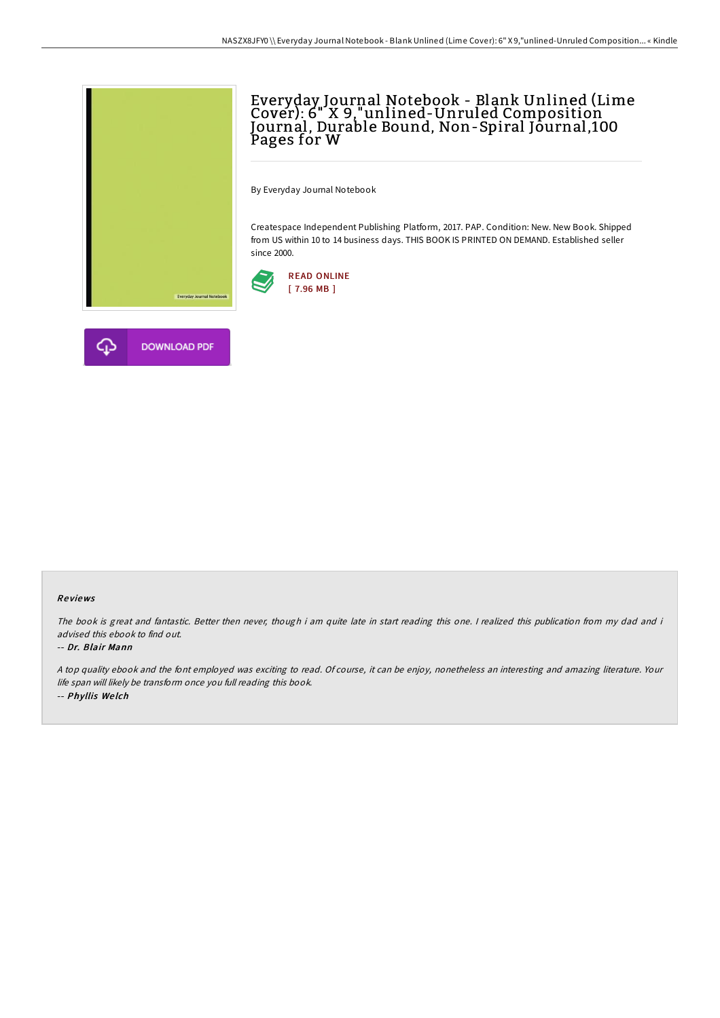

# Everyday Journal Notebook - Blank Unlined (Lime Cover): 6" X 9,"unlined-Unruled Composition Journal, Durable Bound, Non-Spiral Journal,100 Pages for W

By Everyday Journal Notebook

Createspace Independent Publishing Platform, 2017. PAP. Condition: New. New Book. Shipped from US within 10 to 14 business days. THIS BOOK IS PRINTED ON DEMAND. Established seller since 2000.





#### Re views

The book is great and fantastic. Better then never, though i am quite late in start reading this one. <sup>I</sup> realized this publication from my dad and i advised this ebook to find out.

#### -- Dr. Blair Mann

<sup>A</sup> top quality ebook and the font employed was exciting to read. Of course, it can be enjoy, nonetheless an interesting and amazing literature. Your life span will likely be transform once you full reading this book. -- Phyllis We lch